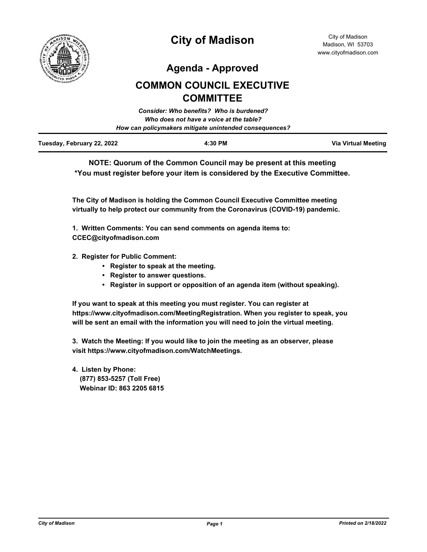

**Agenda - Approved**

# **COMMON COUNCIL EXECUTIVE COMMITTEE**

|                            | Consider: Who benefits? Who is burdened?               |                     |
|----------------------------|--------------------------------------------------------|---------------------|
|                            | Who does not have a voice at the table?                |                     |
|                            | How can policymakers mitigate unintended consequences? |                     |
| Tuesday, February 22, 2022 | 4:30 PM                                                | Via Virtual Meeting |

**NOTE: Quorum of the Common Council may be present at this meeting \*You must register before your item is considered by the Executive Committee.**

**The City of Madison is holding the Common Council Executive Committee meeting virtually to help protect our community from the Coronavirus (COVID-19) pandemic.**

**1. Written Comments: You can send comments on agenda items to: CCEC@cityofmadison.com**

- **2. Register for Public Comment:** 
	- **Register to speak at the meeting.**
	- **Register to answer questions.**
	- **Register in support or opposition of an agenda item (without speaking).**

**If you want to speak at this meeting you must register. You can register at https://www.cityofmadison.com/MeetingRegistration. When you register to speak, you will be sent an email with the information you will need to join the virtual meeting.**

**3. Watch the Meeting: If you would like to join the meeting as an observer, please visit https://www.cityofmadison.com/WatchMeetings.**

**4. Listen by Phone: (877) 853-5257 (Toll Free) Webinar ID: 863 2205 6815**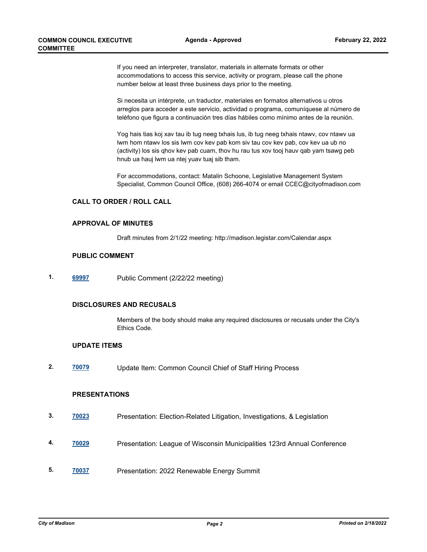If you need an interpreter, translator, materials in alternate formats or other accommodations to access this service, activity or program, please call the phone number below at least three business days prior to the meeting.

Si necesita un intérprete, un traductor, materiales en formatos alternativos u otros arreglos para acceder a este servicio, actividad o programa, comuníquese al número de teléfono que figura a continuación tres días hábiles como mínimo antes de la reunión.

Yog hais tias koj xav tau ib tug neeg txhais lus, ib tug neeg txhais ntawv, cov ntawv ua lwm hom ntawv los sis lwm cov kev pab kom siv tau cov kev pab, cov kev ua ub no (activity) los sis qhov kev pab cuam, thov hu rau tus xov tooj hauv qab yam tsawg peb hnub ua hauj lwm ua ntej yuav tuaj sib tham.

For accommodations, contact: Matalin Schoone, Legislative Management System Specialist, Common Council Office, (608) 266-4074 or email CCEC@cityofmadison.com

#### **CALL TO ORDER / ROLL CALL**

#### **APPROVAL OF MINUTES**

Draft minutes from 2/1/22 meeting: http://madison.legistar.com/Calendar.aspx

#### **PUBLIC COMMENT**

**1. [69997](http://madison.legistar.com/gateway.aspx?m=l&id=/matter.aspx?key=81236)** Public Comment (2/22/22 meeting)

# **DISCLOSURES AND RECUSALS**

Members of the body should make any required disclosures or recusals under the City's Ethics Code.

# **UPDATE ITEMS**

**2. [70079](http://madison.legistar.com/gateway.aspx?m=l&id=/matter.aspx?key=81264)** Update Item: Common Council Chief of Staff Hiring Process

# **PRESENTATIONS**

- **3. [70023](http://madison.legistar.com/gateway.aspx?m=l&id=/matter.aspx?key=81237)** Presentation: Election-Related Litigation, Investigations, & Legislation
- **4. [70029](http://madison.legistar.com/gateway.aspx?m=l&id=/matter.aspx?key=81238)** Presentation: League of Wisconsin Municipalities 123rd Annual Conference
- **5. [70037](http://madison.legistar.com/gateway.aspx?m=l&id=/matter.aspx?key=81239)** Presentation: 2022 Renewable Energy Summit